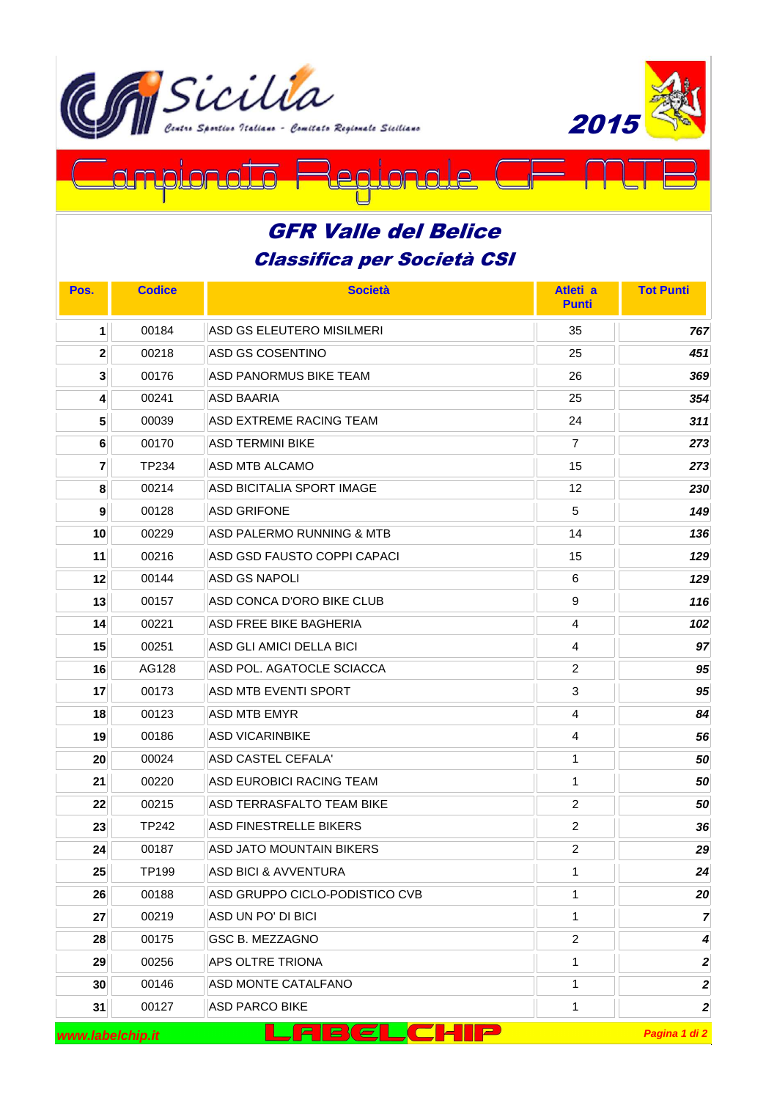



## <u>on c</u> ℶϳ  $\Box$  $\cap$  $\Box$

## Classifica per Società CSI GFR Valle del Belice

| Pos.                                                  | <b>Codice</b> | <b>Società</b>                  | Atleti a<br><b>Punti</b> | <b>Tot Punti</b> |
|-------------------------------------------------------|---------------|---------------------------------|--------------------------|------------------|
| $\mathbf{1}$                                          | 00184         | ASD GS ELEUTERO MISILMERI       | 35                       | 767              |
| $\mathbf{2}$                                          | 00218         | ASD GS COSENTINO                | 25                       | 451              |
| $\mathbf{3}$                                          | 00176         | ASD PANORMUS BIKE TEAM          | 26                       | 369              |
| 4                                                     | 00241         | ASD BAARIA                      | 25                       | 354              |
| 5                                                     | 00039         | ASD EXTREME RACING TEAM         | 24                       | 311              |
| 6                                                     | 00170         | ASD TERMINI BIKE                | $\overline{7}$           | 273              |
| $\mathbf{7}$                                          | TP234         | <b>ASD MTB ALCAMO</b>           | 15                       | 273              |
| 8                                                     | 00214         | ASD BICITALIA SPORT IMAGE       | 12                       | 230              |
| $\boldsymbol{9}$                                      | 00128         | <b>ASD GRIFONE</b>              | 5                        | 149              |
| 10                                                    | 00229         | ASD PALERMO RUNNING & MTB       | 14                       | 136              |
| 11                                                    | 00216         | ASD GSD FAUSTO COPPI CAPACI     | 15                       | 129              |
| 12                                                    | 00144         | <b>ASD GS NAPOLI</b>            | 6                        | 129              |
| 13                                                    | 00157         | ASD CONCA D'ORO BIKE CLUB       | 9                        | 116              |
| 14                                                    | 00221         | <b>ASD FREE BIKE BAGHERIA</b>   | 4                        | 102              |
| 15                                                    | 00251         | ASD GLI AMICI DELLA BICI        | 4                        | 97               |
| 16                                                    | AG128         | ASD POL. AGATOCLE SCIACCA       | $\overline{2}$           | 95               |
| 17                                                    | 00173         | ASD MTB EVENTI SPORT            | 3                        | 95               |
| 18                                                    | 00123         | ASD MTB EMYR                    | 4                        | 84               |
| 19                                                    | 00186         | <b>ASD VICARINBIKE</b>          | 4                        | 56               |
| 20                                                    | 00024         | <b>ASD CASTEL CEFALA'</b>       | 1                        | 50               |
| 21                                                    | 00220         | ASD EUROBICI RACING TEAM        | 1                        | 50               |
| 22                                                    | 00215         | ASD TERRASFALTO TEAM BIKE       | 2                        | 50               |
| 23                                                    | <b>TP242</b>  | <b>ASD FINESTRELLE BIKERS</b>   | $\overline{2}$           | 36               |
| 24                                                    | 00187         | ASD JATO MOUNTAIN BIKERS        | $\overline{2}$           | 29               |
| 25                                                    | TP199         | <b>ASD BICI &amp; AVVENTURA</b> | 1                        | 24               |
| 26                                                    | 00188         | ASD GRUPPO CICLO-PODISTICO CVB  | 1                        | 20               |
| 27                                                    | 00219         | ASD UN PO' DI BICI              | 1                        | $\overline{7}$   |
| 28                                                    | 00175         | GSC B. MEZZAGNO                 | $\overline{2}$           | 4                |
| 29                                                    | 00256         | <b>APS OLTRE TRIONA</b>         | 1                        | $\boldsymbol{2}$ |
| 30                                                    | 00146         | ASD MONTE CATALFANO             | 1                        | $\boldsymbol{2}$ |
| 31                                                    | 00127         | <b>ASD PARCO BIKE</b>           | 1                        | 2                |
| <u>FIBCLCHIP</u><br>Pagina 1 di 2<br>www.labelchip.it |               |                                 |                          |                  |